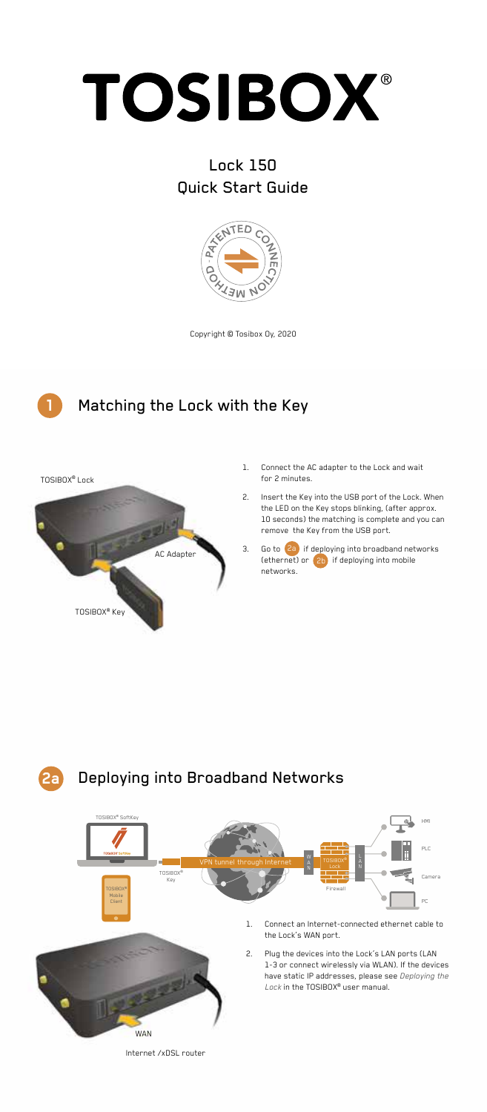

# Lock 150 Quick Start Guide



Copyright © Tosibox Oy, 2020





- 1. Connect the AC adapter to the Lock and wait for 2 minutes.
- 2. Insert the Key into the USB port of the Lock. When the LED on the Key stops blinking, (after approx. 10 seconds) the matching is complete and you can remove the Key from the USB port.
- 3. Go to **2a** if deploying into broadband networks (ethernet) or  $\left(2\right)$  if deploying into mobile networks.



Internet /xDSL router